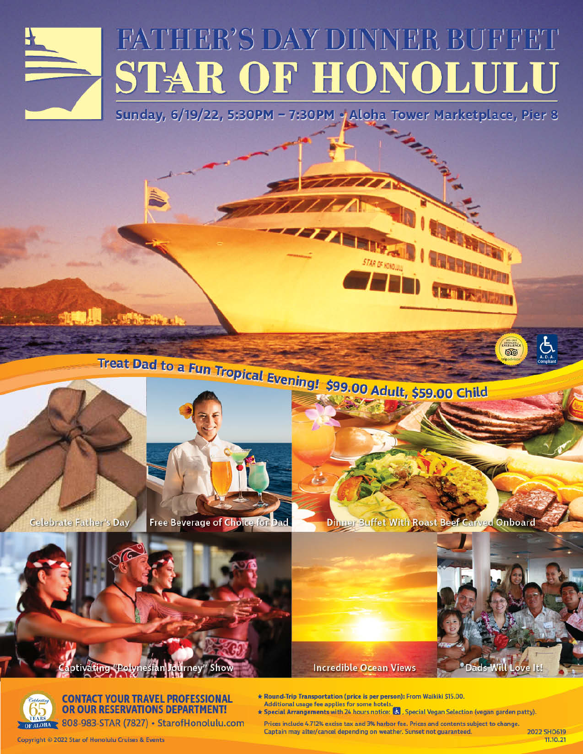

# FATHER'S DAY DINNER BUFFET **STAR OF HONOLULU**

Sunday, 6/19/22, 5:30PM - 7:30PM o Aloha Tower Marketplace, Pier 3





**Celebrate Father's Day** 

**Free Beverage of Choice for Dad** 



**Families Allinguist** 

෨





**CONTACT YOUR TRAVEL PROFESSIONAL** OR OUR RESERVATIONS DEPARTMENT!

808-983-STAR (7827) · StarofHonolulu.com

\* Round-Trip Transportation (price is per person): From Waikiki \$15.00. Additional usage fee applies for some hotels

**Incredible Ocean Views** 

\* Special Arrangements with 24 hours notice: 8, Special Vegan Selection (vegan garden patty).

Prices include 4.712% excise tax and 3% harbor fee. Prices and contents subject to change. Captain may alter/cancel depending on weather. Sunset not guaranteed.

2022 SHO619 11.10.21

<sup>o</sup> Dads Will Love